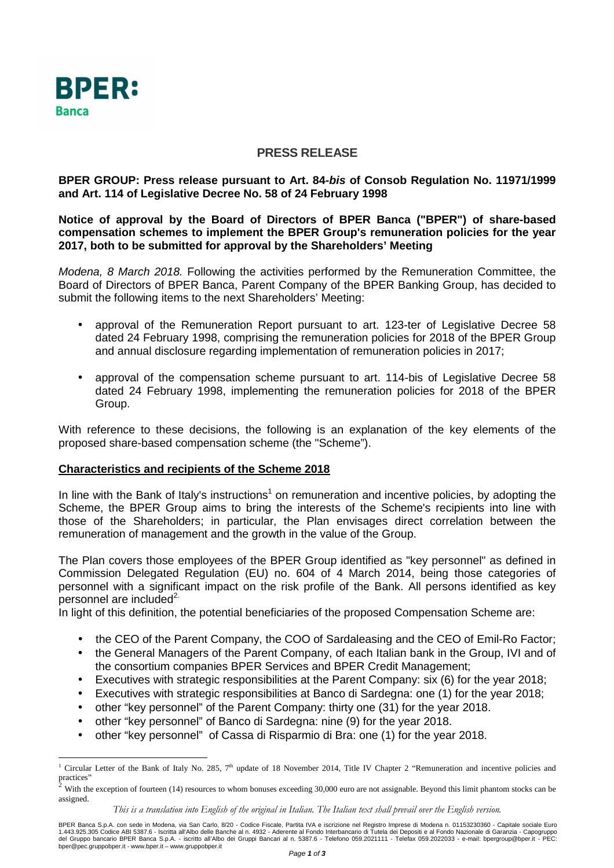

# **PRESS RELEASE**

## **BPER GROUP: Press release pursuant to Art. 84-bis of Consob Regulation No. 11971/1999 and Art. 114 of Legislative Decree No. 58 of 24 February 1998**

**Notice of approval by the Board of Directors of BPER Banca ("BPER") of share-based compensation schemes to implement the BPER Group's remuneration policies for the year 2017, both to be submitted for approval by the Shareholders' Meeting** 

Modena, 8 March 2018. Following the activities performed by the Remuneration Committee, the Board of Directors of BPER Banca, Parent Company of the BPER Banking Group, has decided to submit the following items to the next Shareholders' Meeting:

- approval of the Remuneration Report pursuant to art. 123-ter of Legislative Decree 58 dated 24 February 1998, comprising the remuneration policies for 2018 of the BPER Group and annual disclosure regarding implementation of remuneration policies in 2017;
- approval of the compensation scheme pursuant to art. 114-bis of Legislative Decree 58 dated 24 February 1998, implementing the remuneration policies for 2018 of the BPER Group.

With reference to these decisions, the following is an explanation of the key elements of the proposed share-based compensation scheme (the "Scheme").

## **Characteristics and recipients of the Scheme 2018**

In line with the Bank of Italy's instructions<sup>1</sup> on remuneration and incentive policies, by adopting the Scheme, the BPER Group aims to bring the interests of the Scheme's recipients into line with those of the Shareholders; in particular, the Plan envisages direct correlation between the remuneration of management and the growth in the value of the Group.

The Plan covers those employees of the BPER Group identified as "key personnel" as defined in Commission Delegated Regulation (EU) no. 604 of 4 March 2014, being those categories of personnel with a significant impact on the risk profile of the Bank. All persons identified as key personnel are included<sup>2.</sup>

In light of this definition, the potential beneficiaries of the proposed Compensation Scheme are:

- the CEO of the Parent Company, the COO of Sardaleasing and the CEO of Emil-Ro Factor;
- the General Managers of the Parent Company, of each Italian bank in the Group, IVI and of the consortium companies BPER Services and BPER Credit Management;
- Executives with strategic responsibilities at the Parent Company: six (6) for the year 2018;
- Executives with strategic responsibilities at Banco di Sardegna: one (1) for the year 2018;
- other "key personnel" of the Parent Company: thirty one (31) for the year 2018.
- other "key personnel" of Banco di Sardegna: nine (9) for the year 2018.
- other "key personnel" of Cassa di Risparmio di Bra: one (1) for the year 2018.

*This is a translation into English of the original in Italian. The Italian text shall prevail over the English version.*

BPER Banca S.p.A. con sede in Modena, via San Carlo, 8/20 - Codice Fiscale, Partita IVA e iscrizione nel Registro Imprese di Modena n. 01153230360 - Capitale sociale Euro<br>1.443.925.305 Codice ABI 5387.6 - Iscritta all'Albo bper@pec.gruppobper.it - www.bper.it – www.gruppobper.it

 $\overline{a}$ <sup>1</sup> Circular Letter of the Bank of Italy No. 285, 7<sup>th</sup> update of 18 November 2014, Title IV Chapter 2 "Remuneration and incentive policies and practices"

<sup>2</sup> With the exception of fourteen (14) resources to whom bonuses exceeding 30,000 euro are not assignable. Beyond this limit phantom stocks can be assigned.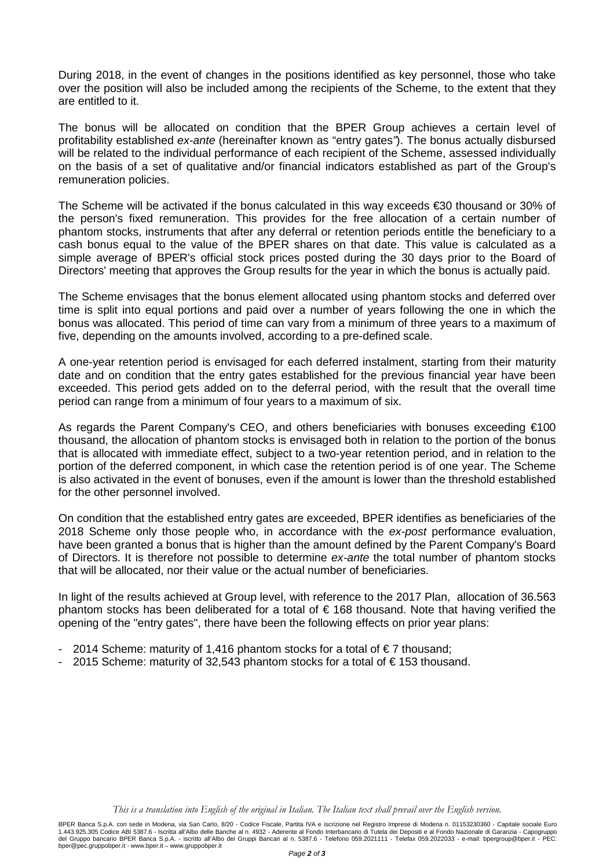During 2018, in the event of changes in the positions identified as key personnel, those who take over the position will also be included among the recipients of the Scheme, to the extent that they are entitled to it.

The bonus will be allocated on condition that the BPER Group achieves a certain level of profitability established ex-ante (hereinafter known as "entry gates"). The bonus actually disbursed will be related to the individual performance of each recipient of the Scheme, assessed individually on the basis of a set of qualitative and/or financial indicators established as part of the Group's remuneration policies.

The Scheme will be activated if the bonus calculated in this way exceeds €30 thousand or 30% of the person's fixed remuneration. This provides for the free allocation of a certain number of phantom stocks, instruments that after any deferral or retention periods entitle the beneficiary to a cash bonus equal to the value of the BPER shares on that date. This value is calculated as a simple average of BPER's official stock prices posted during the 30 days prior to the Board of Directors' meeting that approves the Group results for the year in which the bonus is actually paid.

The Scheme envisages that the bonus element allocated using phantom stocks and deferred over time is split into equal portions and paid over a number of years following the one in which the bonus was allocated. This period of time can vary from a minimum of three years to a maximum of five, depending on the amounts involved, according to a pre-defined scale.

A one-year retention period is envisaged for each deferred instalment, starting from their maturity date and on condition that the entry gates established for the previous financial year have been exceeded. This period gets added on to the deferral period, with the result that the overall time period can range from a minimum of four years to a maximum of six.

As regards the Parent Company's CEO, and others beneficiaries with bonuses exceeding €100 thousand, the allocation of phantom stocks is envisaged both in relation to the portion of the bonus that is allocated with immediate effect, subject to a two-year retention period, and in relation to the portion of the deferred component, in which case the retention period is of one year. The Scheme is also activated in the event of bonuses, even if the amount is lower than the threshold established for the other personnel involved.

On condition that the established entry gates are exceeded, BPER identifies as beneficiaries of the 2018 Scheme only those people who, in accordance with the ex-post performance evaluation, have been granted a bonus that is higher than the amount defined by the Parent Company's Board of Directors. It is therefore not possible to determine ex-ante the total number of phantom stocks that will be allocated, nor their value or the actual number of beneficiaries.

In light of the results achieved at Group level, with reference to the 2017 Plan, allocation of 36.563 phantom stocks has been deliberated for a total of  $\epsilon$  168 thousand. Note that having verified the opening of the "entry gates", there have been the following effects on prior year plans:

- 2014 Scheme: maturity of 1,416 phantom stocks for a total of €7 thousand;
- 2015 Scheme: maturity of 32,543 phantom stocks for a total of € 153 thousand.